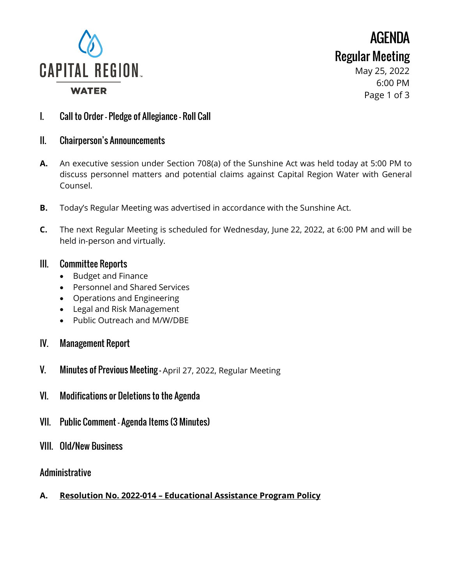

AGENDA Regular Meeting

> May 25, 2022 6:00 PM Page 1 of 3

- I. Call to Order Pledge of Allegiance Roll Call
- II. Chairperson's Announcements
- **A.** An executive session under Section 708(a) of the Sunshine Act was held today at 5:00 PM to discuss personnel matters and potential claims against Capital Region Water with General Counsel.
- **B.** Today's Regular Meeting was advertised in accordance with the Sunshine Act.
- **C.** The next Regular Meeting is scheduled for Wednesday, June 22, 2022, at 6:00 PM and will be held in-person and virtually.

### III. Committee Reports

- Budget and Finance
- Personnel and Shared Services
- Operations and Engineering
- Legal and Risk Management
- Public Outreach and M/W/DBE
- IV. Management Report
- V. Minutes of Previous Meeting April 27, 2022, Regular Meeting
- VI. Modifications or Deletions to the Agenda
- VII. Public Comment Agenda Items (3 Minutes)
- VIII. Old/New Business

## Administrative

**A. Resolution No. 2022-014 – Educational Assistance Program Policy**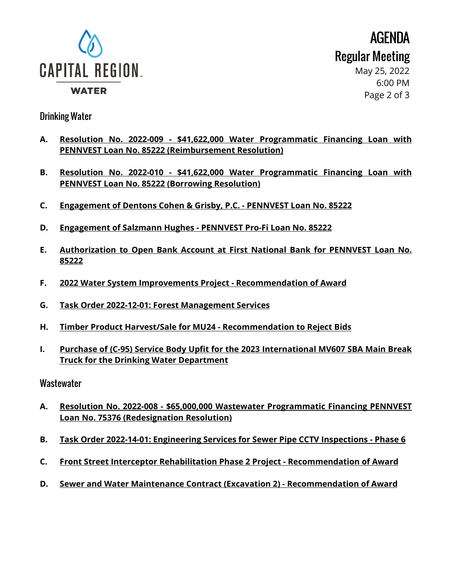

AGENDA Regular Meeting

May 25, 2022 6:00 PM Page 2 of 3

### Drinking Water

- **A. Resolution No. 2022-009 - \$41,622,000 Water Programmatic Financing Loan with PENNVEST Loan No. 85222 (Reimbursement Resolution)**
- **B. Resolution No. 2022-010 - \$41,622,000 Water Programmatic Financing Loan with PENNVEST Loan No. 85222 (Borrowing Resolution)**
- **C. Engagement of Dentons Cohen & Grisby, P.C. - PENNVEST Loan No. 85222**
- **D. Engagement of Salzmann Hughes - PENNVEST Pro-Fi Loan No. 85222**
- **E. Authorization to Open Bank Account at First National Bank for PENNVEST Loan No. 85222**
- **F. 2022 Water System Improvements Project - Recommendation of Award**
- **G. Task Order 2022-12-01: Forest Management Services**
- **H. Timber Product Harvest/Sale for MU24 - Recommendation to Reject Bids**
- **I. Purchase of (C-95) Service Body Upfit for the 2023 International MV607 SBA Main Break Truck for the Drinking Water Department**

#### **Wastewater**

- **A. Resolution No. 2022-008 - \$65,000,000 Wastewater Programmatic Financing PENNVEST Loan No. 75376 (Redesignation Resolution)**
- **B. Task Order 2022-14-01: Engineering Services for Sewer Pipe CCTV Inspections - Phase 6**
- **C. Front Street Interceptor Rehabilitation Phase 2 Project - Recommendation of Award**
- **D. Sewer and Water Maintenance Contract (Excavation 2) - Recommendation of Award**